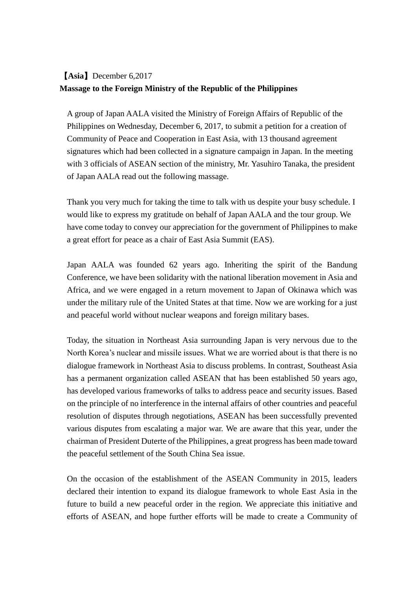## 【**Asia**】December 6,2017 **Massage to the Foreign Ministry of the Republic of the Philippines**

A group of Japan AALA visited the Ministry of Foreign Affairs of Republic of the Philippines on Wednesday, December 6, 2017, to submit a petition for a creation of Community of Peace and Cooperation in East Asia, with 13 thousand agreement signatures which had been collected in a signature campaign in Japan. In the meeting with 3 officials of ASEAN section of the ministry, Mr. Yasuhiro Tanaka, the president of Japan AALA read out the following massage.

Thank you very much for taking the time to talk with us despite your busy schedule. I would like to express my gratitude on behalf of Japan AALA and the tour group. We have come today to convey our appreciation for the government of Philippines to make a great effort for peace as a chair of East Asia Summit (EAS).

Japan AALA was founded 62 years ago. Inheriting the spirit of the Bandung Conference, we have been solidarity with the national liberation movement in Asia and Africa, and we were engaged in a return movement to Japan of Okinawa which was under the military rule of the United States at that time. Now we are working for a just and peaceful world without nuclear weapons and foreign military bases.

Today, the situation in Northeast Asia surrounding Japan is very nervous due to the North Korea's nuclear and missile issues. What we are worried about is that there is no dialogue framework in Northeast Asia to discuss problems. In contrast, Southeast Asia has a permanent organization called ASEAN that has been established 50 years ago, has developed various frameworks of talks to address peace and security issues. Based on the principle of no interference in the internal affairs of other countries and peaceful resolution of disputes through negotiations, ASEAN has been successfully prevented various disputes from escalating a major war. We are aware that this year, under the chairman of President Duterte of the Philippines, a great progress has been made toward the peaceful settlement of the South China Sea issue.

On the occasion of the establishment of the ASEAN Community in 2015, leaders declared their intention to expand its dialogue framework to whole East Asia in the future to build a new peaceful order in the region. We appreciate this initiative and efforts of ASEAN, and hope further efforts will be made to create a Community of